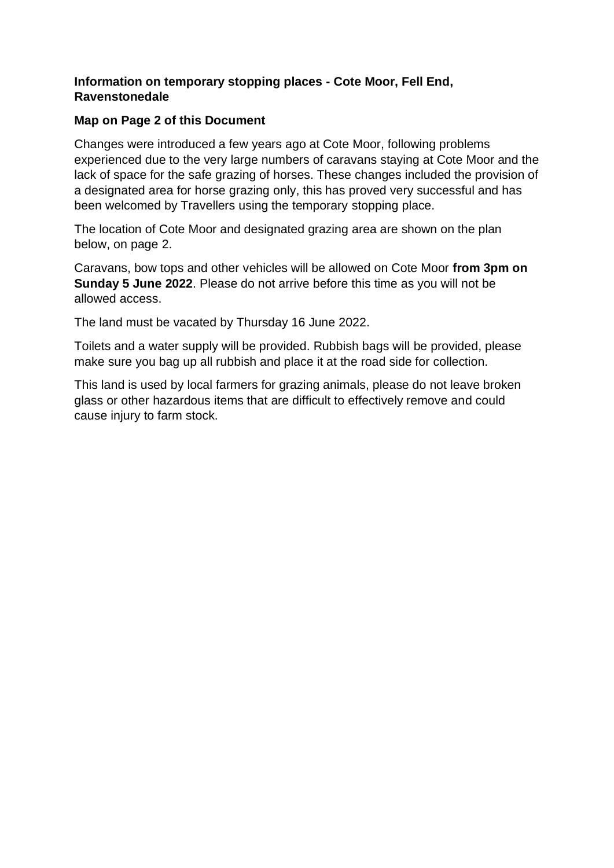## **Information on temporary stopping places - Cote Moor, Fell End, Ravenstonedale**

## **Map on Page 2 of this Document**

Changes were introduced a few years ago at Cote Moor, following problems experienced due to the very large numbers of caravans staying at Cote Moor and the lack of space for the safe grazing of horses. These changes included the provision of a designated area for horse grazing only, this has proved very successful and has been welcomed by Travellers using the temporary stopping place.

The location of Cote Moor and designated grazing area are shown on the plan below, on page 2.

Caravans, bow tops and other vehicles will be allowed on Cote Moor **from 3pm on Sunday 5 June 2022**. Please do not arrive before this time as you will not be allowed access.

The land must be vacated by Thursday 16 June 2022.

Toilets and a water supply will be provided. Rubbish bags will be provided, please make sure you bag up all rubbish and place it at the road side for collection.

This land is used by local farmers for grazing animals, please do not leave broken glass or other hazardous items that are difficult to effectively remove and could cause injury to farm stock.